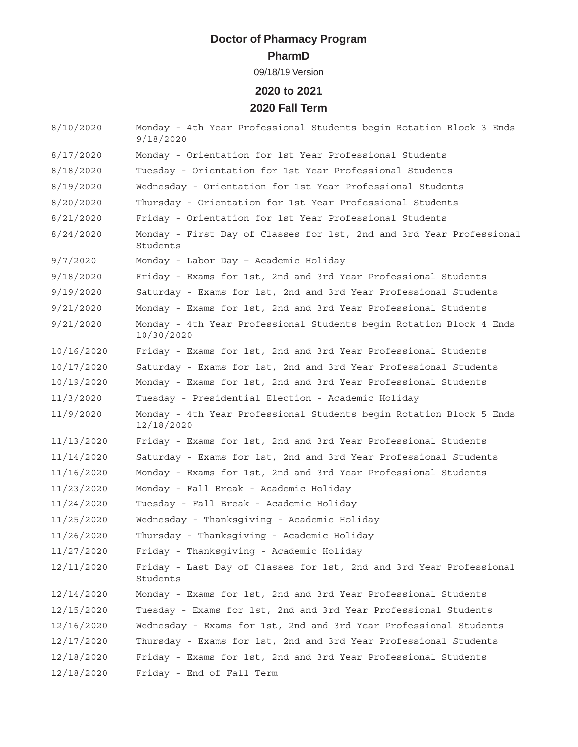# **Doctor of Pharmacy Program**

#### **PharmD**

09/18/19 Version

### **2020 to 2021 2020 Fall Term**

| 8/10/2020  | Monday - 4th Year Professional Students begin Rotation Block 3 Ends<br>9/18/2020  |
|------------|-----------------------------------------------------------------------------------|
| 8/17/2020  | Monday - Orientation for 1st Year Professional Students                           |
| 8/18/2020  | Tuesday - Orientation for 1st Year Professional Students                          |
| 8/19/2020  | Wednesday - Orientation for 1st Year Professional Students                        |
| 8/20/2020  | Thursday - Orientation for 1st Year Professional Students                         |
| 8/21/2020  | Friday - Orientation for 1st Year Professional Students                           |
| 8/24/2020  | Monday - First Day of Classes for 1st, 2nd and 3rd Year Professional<br>Students  |
| 9/7/2020   | Monday - Labor Day - Academic Holiday                                             |
| 9/18/2020  | Friday - Exams for 1st, 2nd and 3rd Year Professional Students                    |
| 9/19/2020  | Saturday - Exams for 1st, 2nd and 3rd Year Professional Students                  |
| 9/21/2020  | Monday - Exams for 1st, 2nd and 3rd Year Professional Students                    |
| 9/21/2020  | Monday - 4th Year Professional Students begin Rotation Block 4 Ends<br>10/30/2020 |
| 10/16/2020 | Friday - Exams for 1st, 2nd and 3rd Year Professional Students                    |
| 10/17/2020 | Saturday - Exams for 1st, 2nd and 3rd Year Professional Students                  |
| 10/19/2020 | Monday - Exams for 1st, 2nd and 3rd Year Professional Students                    |
| 11/3/2020  | Tuesday - Presidential Election - Academic Holiday                                |
| 11/9/2020  | Monday - 4th Year Professional Students begin Rotation Block 5 Ends<br>12/18/2020 |
| 11/13/2020 | Friday - Exams for 1st, 2nd and 3rd Year Professional Students                    |
| 11/14/2020 | Saturday - Exams for 1st, 2nd and 3rd Year Professional Students                  |
| 11/16/2020 | Monday - Exams for 1st, 2nd and 3rd Year Professional Students                    |
| 11/23/2020 | Monday - Fall Break - Academic Holiday                                            |
| 11/24/2020 | Tuesday - Fall Break - Academic Holiday                                           |
| 11/25/2020 | Wednesday - Thanksgiving - Academic Holiday                                       |
| 11/26/2020 | Thursday - Thanksgiving - Academic Holiday                                        |
| 11/27/2020 | Friday - Thanksgiving - Academic Holiday                                          |
| 12/11/2020 | Friday - Last Day of Classes for 1st, 2nd and 3rd Year Professional<br>Students   |
| 12/14/2020 | Monday - Exams for 1st, 2nd and 3rd Year Professional Students                    |
| 12/15/2020 | Tuesday - Exams for 1st, 2nd and 3rd Year Professional Students                   |
| 12/16/2020 | Wednesday - Exams for 1st, 2nd and 3rd Year Professional Students                 |
| 12/17/2020 | Thursday - Exams for 1st, 2nd and 3rd Year Professional Students                  |
| 12/18/2020 | Friday - Exams for 1st, 2nd and 3rd Year Professional Students                    |
| 12/18/2020 | Friday - End of Fall Term                                                         |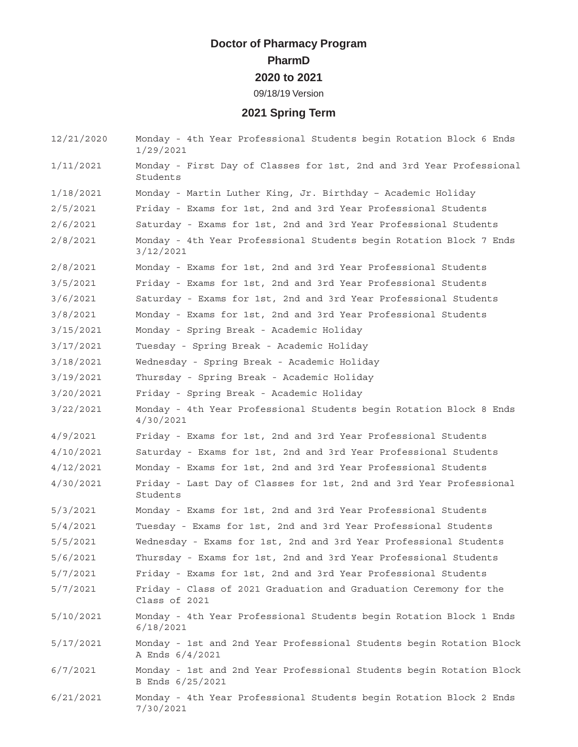#### **Doctor of Pharmacy Program PharmD 2020 to 2021** 09/18/19 Version

### **2021 Spring Term**

| 12/21/2020 | Monday - 4th Year Professional Students begin Rotation Block 6 Ends<br>1/29/2021         |
|------------|------------------------------------------------------------------------------------------|
| 1/11/2021  | Monday - First Day of Classes for 1st, 2nd and 3rd Year Professional<br>Students         |
| 1/18/2021  | Monday - Martin Luther King, Jr. Birthday - Academic Holiday                             |
| 2/5/2021   | Friday - Exams for 1st, 2nd and 3rd Year Professional Students                           |
| 2/6/2021   | Saturday - Exams for 1st, 2nd and 3rd Year Professional Students                         |
| 2/8/2021   | Monday - 4th Year Professional Students begin Rotation Block 7 Ends<br>3/12/2021         |
| 2/8/2021   | Monday - Exams for 1st, 2nd and 3rd Year Professional Students                           |
| 3/5/2021   | Friday - Exams for 1st, 2nd and 3rd Year Professional Students                           |
| 3/6/2021   | Saturday - Exams for 1st, 2nd and 3rd Year Professional Students                         |
| 3/8/2021   | Monday - Exams for 1st, 2nd and 3rd Year Professional Students                           |
| 3/15/2021  | Monday - Spring Break - Academic Holiday                                                 |
| 3/17/2021  | Tuesday - Spring Break - Academic Holiday                                                |
| 3/18/2021  | Wednesday - Spring Break - Academic Holiday                                              |
| 3/19/2021  | Thursday - Spring Break - Academic Holiday                                               |
| 3/20/2021  | Friday - Spring Break - Academic Holiday                                                 |
| 3/22/2021  | Monday - 4th Year Professional Students begin Rotation Block 8 Ends<br>4/30/2021         |
| 4/9/2021   | Friday - Exams for 1st, 2nd and 3rd Year Professional Students                           |
| 4/10/2021  | Saturday - Exams for 1st, 2nd and 3rd Year Professional Students                         |
| 4/12/2021  | Monday - Exams for 1st, 2nd and 3rd Year Professional Students                           |
| 4/30/2021  | Friday - Last Day of Classes for 1st, 2nd and 3rd Year Professional<br>Students          |
| 5/3/2021   | Monday - Exams for 1st, 2nd and 3rd Year Professional Students                           |
| 5/4/2021   | Tuesday - Exams for 1st, 2nd and 3rd Year Professional Students                          |
| 5/5/2021   | Wednesday - Exams for 1st, 2nd and 3rd Year Professional Students                        |
| 5/6/2021   | Thursday - Exams for 1st, 2nd and 3rd Year Professional Students                         |
| 5/7/2021   | Friday - Exams for 1st, 2nd and 3rd Year Professional Students                           |
| 5/7/2021   | Friday - Class of 2021 Graduation and Graduation Ceremony for the<br>Class of 2021       |
| 5/10/2021  | Monday - 4th Year Professional Students begin Rotation Block 1 Ends<br>6/18/2021         |
| 5/17/2021  | Monday - 1st and 2nd Year Professional Students begin Rotation Block<br>A Ends 6/4/2021  |
| 6/7/2021   | Monday - 1st and 2nd Year Professional Students begin Rotation Block<br>B Ends 6/25/2021 |
| 6/21/2021  | Monday - 4th Year Professional Students begin Rotation Block 2 Ends<br>7/30/2021         |